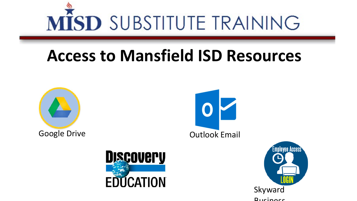

### **Access to Mansfield ISD Resources**







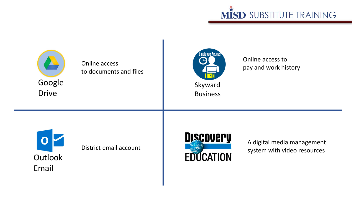



Online access to documents and files



Online access to pay and work history



District email account



A digital media management system with video resources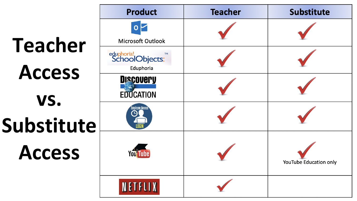# **Teacher Access vs. Substitute Access**

| <b>Product</b>                                         | <b>Teacher</b> | <b>Substitute</b>      |
|--------------------------------------------------------|----------------|------------------------|
| $\mathbf{o}$<br>Microsoft Outlook                      |                |                        |
| eduphoria!<br>SchoolObjects:<br><b>TM</b><br>Eduphoria |                |                        |
| <b>Discovery</b><br><b>EDUCATION</b>                   |                |                        |
| <b>Employee Access</b>                                 |                |                        |
| <b>You Tube</b>                                        |                | YouTube Education only |
| <b>NETFLIX</b>                                         |                |                        |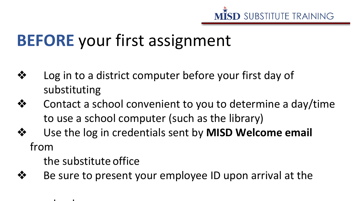

### **BEFORE** your first assignment

- ❖ Log in to a district computer before your first day of substituting
- ❖ Contact a school convenient to you to determine a day/time to use a school computer (such as the library)
- ❖ Use the log in credentials sent by **MISD Welcome email** from

the substitute office

h l

❖ Be sure to present your employee ID upon arrival at the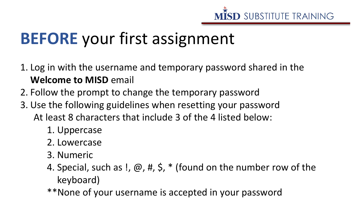

## **BEFORE** your first assignment

- 1. Log in with the username and temporary password shared in the **Welcome to MISD** email
- 2. Follow the prompt to change the temporary password
- 3. Use the following guidelines when resetting your password At least 8 characters that include 3 of the 4 listed below:
	- 1. Uppercase
	- 2. Lowercase
	- 3. Numeric
	- 4. Special, such as !,  $\omega$ , #, \$,  $*$  (found on the number row of the keyboard)
	- \*\*None of your username is accepted in your password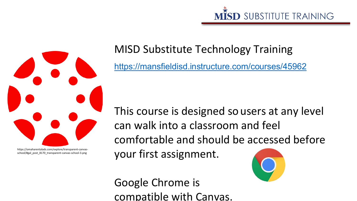



https://omaharentalads.com/explore/transparent-canvasschool/#gal\_post\_8170\_transparent-canvas-school-3.png

#### MISD Substitute Technology Training

<https://mansfieldisd.instructure.com/courses/45962>

This course is designed so users at any level can walk into a classroom and feel comfortable and should be accessed before your first assignment.

Google Chrome is compatible with Canvas.